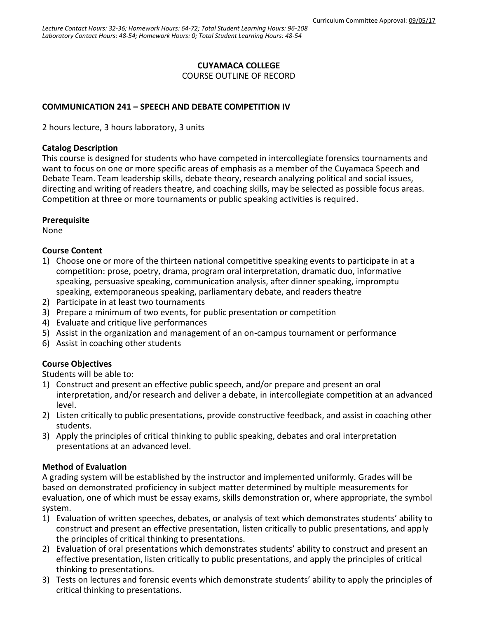### **CUYAMACA COLLEGE**

COURSE OUTLINE OF RECORD

## **COMMUNICATION 241 – SPEECH AND DEBATE COMPETITION IV**

2 hours lecture, 3 hours laboratory, 3 units

#### **Catalog Description**

This course is designed for students who have competed in intercollegiate forensics tournaments and want to focus on one or more specific areas of emphasis as a member of the Cuyamaca Speech and Debate Team. Team leadership skills, debate theory, research analyzing political and social issues, directing and writing of readers theatre, and coaching skills, may be selected as possible focus areas. Competition at three or more tournaments or public speaking activities is required.

#### **Prerequisite**

None

#### **Course Content**

- 1) Choose one or more of the thirteen national competitive speaking events to participate in at a competition: prose, poetry, drama, program oral interpretation, dramatic duo, informative speaking, persuasive speaking, communication analysis, after dinner speaking, impromptu speaking, extemporaneous speaking, parliamentary debate, and readers theatre
- 2) Participate in at least two tournaments
- 3) Prepare a minimum of two events, for public presentation or competition
- 4) Evaluate and critique live performances
- 5) Assist in the organization and management of an on-campus tournament or performance
- 6) Assist in coaching other students

# **Course Objectives**

Students will be able to:

- 1) Construct and present an effective public speech, and/or prepare and present an oral interpretation, and/or research and deliver a debate, in intercollegiate competition at an advanced level.
- 2) Listen critically to public presentations, provide constructive feedback, and assist in coaching other students.
- 3) Apply the principles of critical thinking to public speaking, debates and oral interpretation presentations at an advanced level.

#### **Method of Evaluation**

A grading system will be established by the instructor and implemented uniformly. Grades will be based on demonstrated proficiency in subject matter determined by multiple measurements for evaluation, one of which must be essay exams, skills demonstration or, where appropriate, the symbol system.

- 1) Evaluation of written speeches, debates, or analysis of text which demonstrates students' ability to construct and present an effective presentation, listen critically to public presentations, and apply the principles of critical thinking to presentations.
- 2) Evaluation of oral presentations which demonstrates students' ability to construct and present an effective presentation, listen critically to public presentations, and apply the principles of critical thinking to presentations.
- 3) Tests on lectures and forensic events which demonstrate students' ability to apply the principles of critical thinking to presentations.